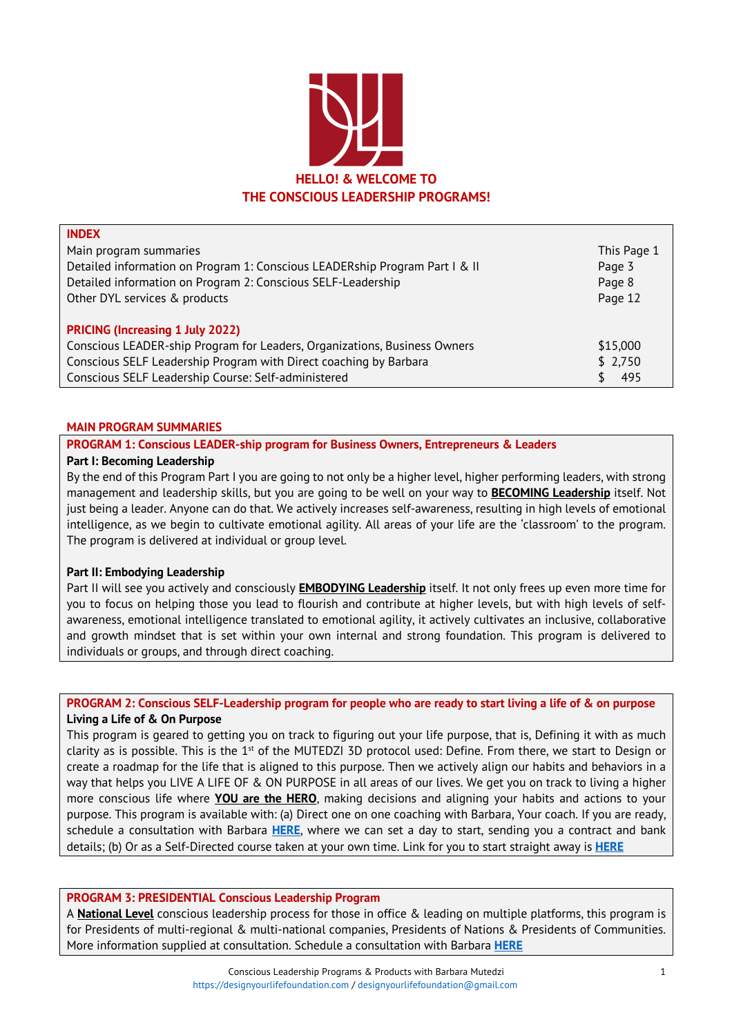

| <b>INDEX</b>                                                                |             |
|-----------------------------------------------------------------------------|-------------|
| Main program summaries                                                      | This Page 1 |
| Detailed information on Program 1: Conscious LEADERship Program Part I & II | Page 3      |
| Detailed information on Program 2: Conscious SELF-Leadership                | Page 8      |
| Other DYL services & products                                               | Page 12     |
|                                                                             |             |
| <b>PRICING (Increasing 1 July 2022)</b>                                     |             |
| Conscious LEADER-ship Program for Leaders, Organizations, Business Owners   | \$15,000    |
| Conscious SELF Leadership Program with Direct coaching by Barbara           | \$2,750     |
| Conscious SELF Leadership Course: Self-administered                         | 495         |

## **MAIN PROGRAM SUMMARIES**

**PROGRAM 1: Conscious LEADER-ship program for Business Owners, Entrepreneurs & Leaders**

## **Part I: Becoming Leadership**

By the end of this Program Part I you are going to not only be a higher level, higher performing leaders, with strong management and leadership skills, but you are going to be well on your way to **BECOMING Leadership** itself. Not just being a leader. Anyone can do that. We actively increases self-awareness, resulting in high levels of emotional intelligence, as we begin to cultivate emotional agility. All areas of your life are the 'classroom' to the program. The program is delivered at individual or group level.

# **Part II: Embodying Leadership**

Part II will see you actively and consciously **EMBODYING Leadership** itself. It not only frees up even more time for you to focus on helping those you lead to flourish and contribute at higher levels, but with high levels of selfawareness, emotional intelligence translated to emotional agility, it actively cultivates an inclusive, collaborative and growth mindset that is set within your own internal and strong foundation. This program is delivered to individuals or groups, and through direct coaching.

# **PROGRAM 2: Conscious SELF-Leadership program for people who are ready to start living a life of & on purpose Living a Life of & On Purpose**

This program is geared to getting you on track to figuring out your life purpose, that is, Defining it with as much clarity as is possible. This is the 1<sup>st</sup> of the MUTEDZI 3D protocol used: Define. From there, we start to Design or create a roadmap for the life that is aligned to this purpose. Then we actively align our habits and behaviors in a way that helps you LIVE A LIFE OF & ON PURPOSE in all areas of our lives. We get you on track to living a higher more conscious life where **YOU are the HERO**, making decisions and aligning your habits and actions to your purpose. This program is available with: (a) Direct one on one coaching with Barbara, Your coach. If you are ready, schedule a consultation with Barbara **HERE**, where we can set a day to start, sending you a contract and bank details; (b) Or as a Self-Directed course taken at your own time. Link for you to start straight away is **HERE**

# **PROGRAM 3: PRESIDENTIAL Conscious Leadership Program**

A **National Level** conscious leadership process for those in office & leading on multiple platforms, this program is for Presidents of multi-regional & multi-national companies, Presidents of Nations & Presidents of Communities. More information supplied at consultation. Schedule a consultation with Barbara **HERE**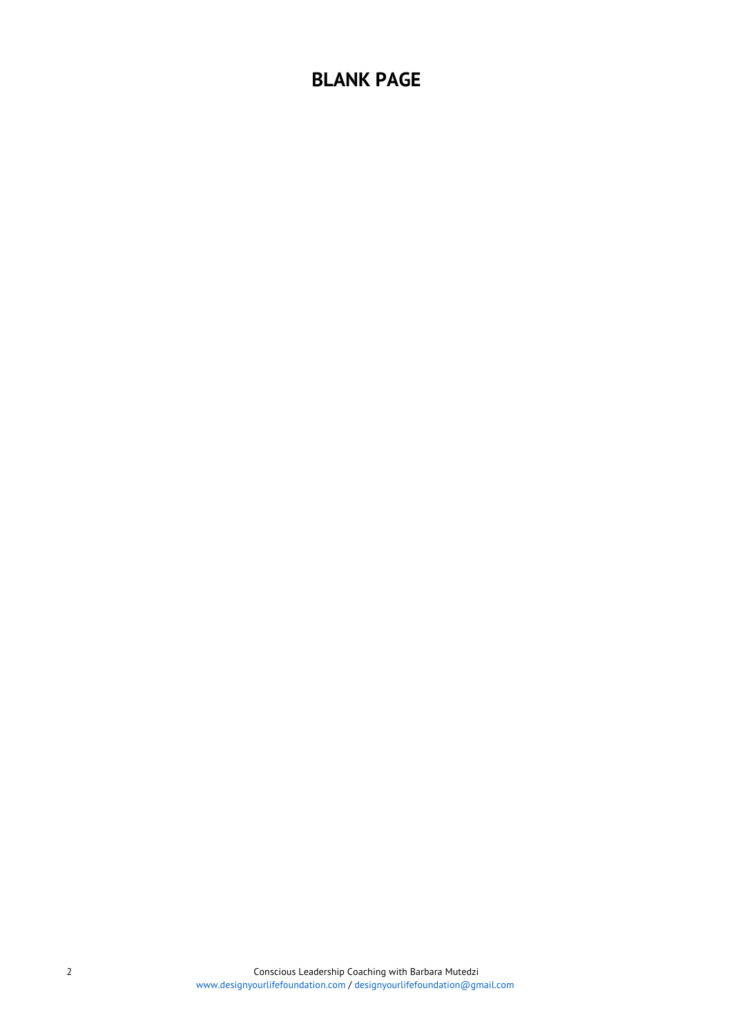# **BLANK PAGE**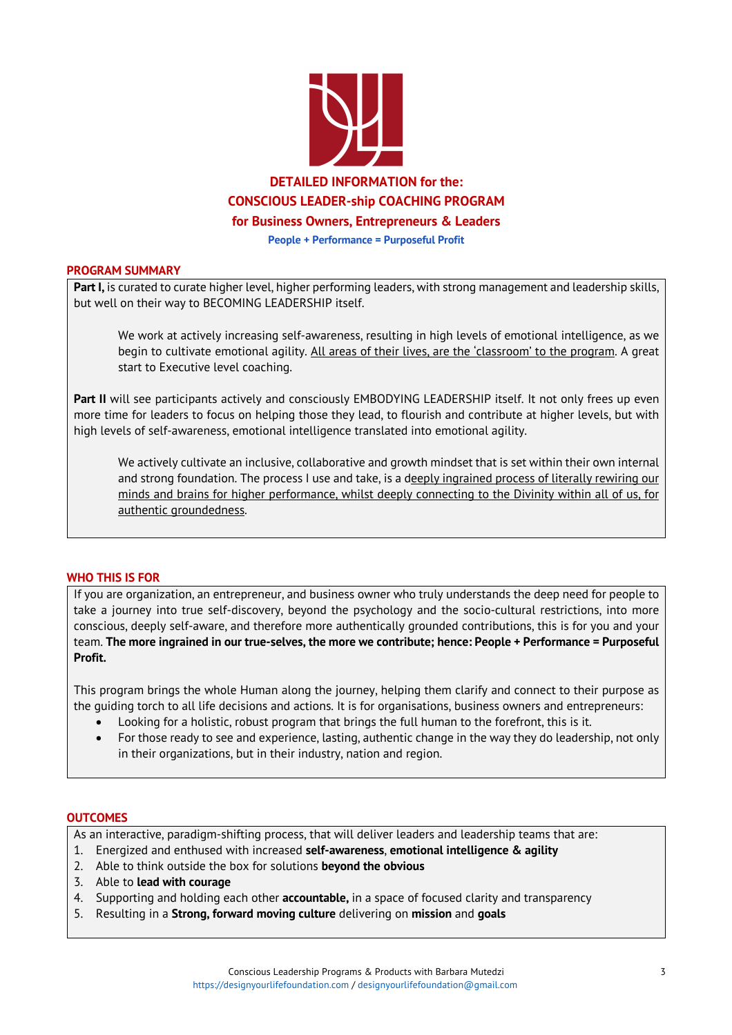

## **PROGRAM SUMMARY**

**Part I,** is curated to curate higher level, higher performing leaders, with strong management and leadership skills, but well on their way to BECOMING LEADERSHIP itself.

We work at actively increasing self-awareness, resulting in high levels of emotional intelligence, as we begin to cultivate emotional agility. All areas of their lives, are the 'classroom' to the program. A great start to Executive level coaching.

**Part II** will see participants actively and consciously EMBODYING LEADERSHIP itself. It not only frees up even more time for leaders to focus on helping those they lead, to flourish and contribute at higher levels, but with high levels of self-awareness, emotional intelligence translated into emotional agility.

We actively cultivate an inclusive, collaborative and growth mindset that is set within their own internal and strong foundation. The process I use and take, is a deeply ingrained process of literally rewiring our minds and brains for higher performance, whilst deeply connecting to the Divinity within all of us, for authentic groundedness.

# **WHO THIS IS FOR**

If you are organization, an entrepreneur, and business owner who truly understands the deep need for people to take a journey into true self-discovery, beyond the psychology and the socio-cultural restrictions, into more conscious, deeply self-aware, and therefore more authentically grounded contributions, this is for you and your team. **The more ingrained in our true-selves, the more we contribute; hence: People + Performance = Purposeful Profit.**

This program brings the whole Human along the journey, helping them clarify and connect to their purpose as the guiding torch to all life decisions and actions. It is for organisations, business owners and entrepreneurs:

- Looking for a holistic, robust program that brings the full human to the forefront, this is it.
- For those ready to see and experience, lasting, authentic change in the way they do leadership, not only in their organizations, but in their industry, nation and region.

## **OUTCOMES**

As an interactive, paradigm-shifting process, that will deliver leaders and leadership teams that are:

- 1. Energized and enthused with increased **self-awareness**, **emotional intelligence & agility**
- 2. Able to think outside the box for solutions **beyond the obvious**
- 3. Able to **lead with courage**
- 4. Supporting and holding each other **accountable,** in a space of focused clarity and transparency
- 5. Resulting in a **Strong, forward moving culture** delivering on **mission** and **goals**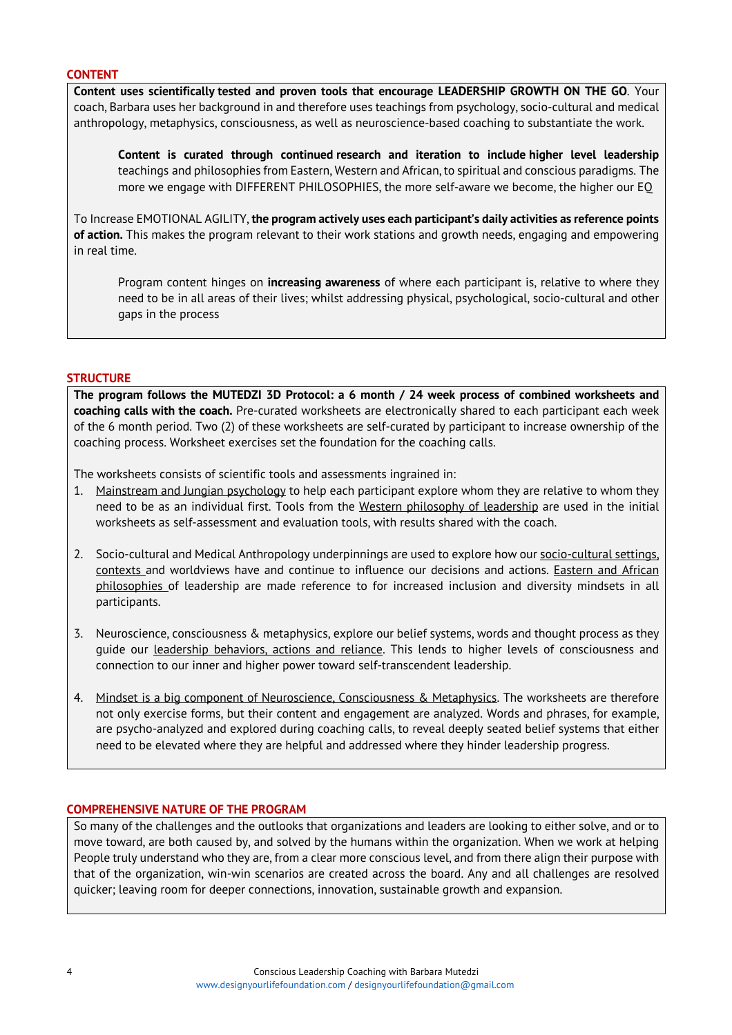# **CONTENT**

**Content uses scientifically tested and proven tools that encourage LEADERSHIP GROWTH ON THE GO**. Your coach, Barbara uses her background in and therefore uses teachings from psychology, socio-cultural and medical anthropology, metaphysics, consciousness, as well as neuroscience-based coaching to substantiate the work.

**Content is curated through continued research and iteration to include higher level leadership** teachings and philosophies from Eastern, Western and African, to spiritual and conscious paradigms. The more we engage with DIFFERENT PHILOSOPHIES, the more self-aware we become, the higher our EQ

To Increase EMOTIONAL AGILITY, **the program actively uses each participant's daily activities as reference points of action.** This makes the program relevant to their work stations and growth needs, engaging and empowering in real time.

Program content hinges on **increasing awareness** of where each participant is, relative to where they need to be in all areas of their lives; whilst addressing physical, psychological, socio-cultural and other gaps in the process

## **STRUCTURE**

**The program follows the MUTEDZI 3D Protocol: a 6 month / 24 week process of combined worksheets and coaching calls with the coach.** Pre-curated worksheets are electronically shared to each participant each week of the 6 month period. Two (2) of these worksheets are self-curated by participant to increase ownership of the coaching process. Worksheet exercises set the foundation for the coaching calls.

The worksheets consists of scientific tools and assessments ingrained in:

- 1. Mainstream and Jungian psychology to help each participant explore whom they are relative to whom they need to be as an individual first. Tools from the Western philosophy of leadership are used in the initial worksheets as self-assessment and evaluation tools, with results shared with the coach.
- 2. Socio-cultural and Medical Anthropology underpinnings are used to explore how our socio-cultural settings, contexts and worldviews have and continue to influence our decisions and actions. Eastern and African philosophies of leadership are made reference to for increased inclusion and diversity mindsets in all participants.
- 3. Neuroscience, consciousness & metaphysics, explore our belief systems, words and thought process as they guide our **leadership behaviors, actions and reliance**. This lends to higher levels of consciousness and connection to our inner and higher power toward self-transcendent leadership.
- 4. Mindset is a big component of Neuroscience, Consciousness & Metaphysics. The worksheets are therefore not only exercise forms, but their content and engagement are analyzed. Words and phrases, for example, are psycho-analyzed and explored during coaching calls, to reveal deeply seated belief systems that either need to be elevated where they are helpful and addressed where they hinder leadership progress.

# **COMPREHENSIVE NATURE OF THE PROGRAM**

So many of the challenges and the outlooks that organizations and leaders are looking to either solve, and or to move toward, are both caused by, and solved by the humans within the organization. When we work at helping People truly understand who they are, from a clear more conscious level, and from there align their purpose with that of the organization, win-win scenarios are created across the board. Any and all challenges are resolved quicker; leaving room for deeper connections, innovation, sustainable growth and expansion.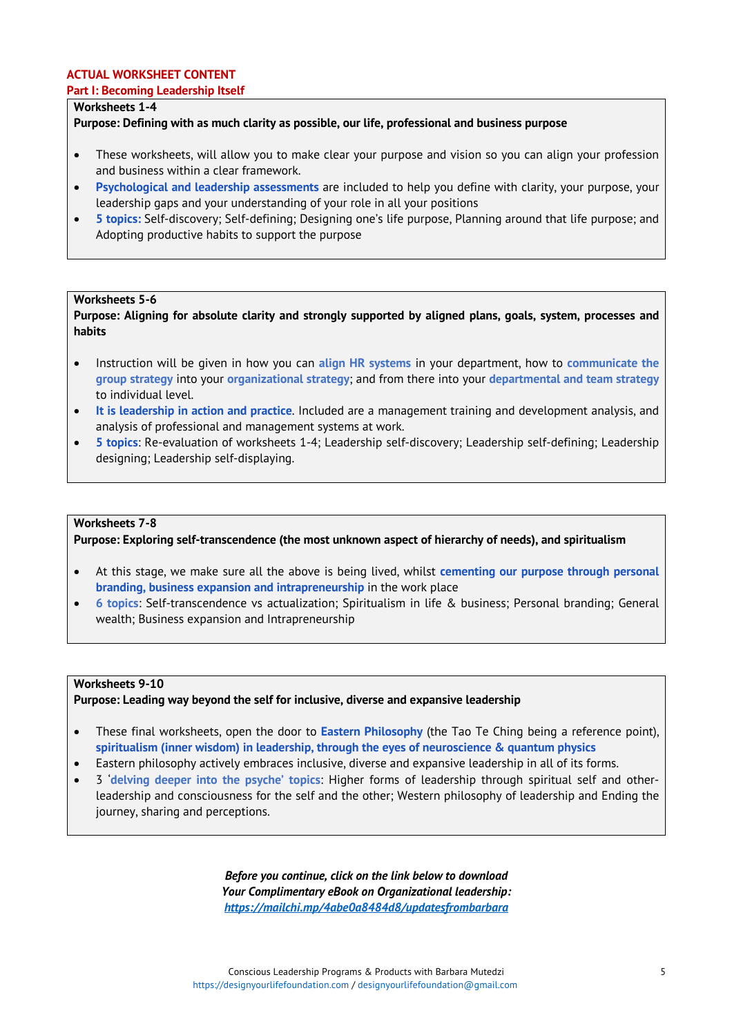# **ACTUAL WORKSHEET CONTENT**

# **Part I: Becoming Leadership Itself**

# **Worksheets 1-4**

# **Purpose: Defining with as much clarity as possible, our life, professional and business purpose**

- These worksheets, will allow you to make clear your purpose and vision so you can align your profession and business within a clear framework.
- **Psychological and leadership assessments** are included to help you define with clarity, your purpose, your leadership gaps and your understanding of your role in all your positions
- **5 topics:** Self-discovery; Self-defining; Designing one's life purpose, Planning around that life purpose; and Adopting productive habits to support the purpose

## **Worksheets 5-6**

**Purpose: Aligning for absolute clarity and strongly supported by aligned plans, goals, system, processes and habits**

- Instruction will be given in how you can **align HR systems** in your department, how to **communicate the group strategy** into your **organizational strategy**; and from there into your **departmental and team strategy** to individual level.
- **It is leadership in action and practice**. Included are a management training and development analysis, and analysis of professional and management systems at work.
- **5 topics**: Re-evaluation of worksheets 1-4; Leadership self-discovery; Leadership self-defining; Leadership designing; Leadership self-displaying.

# **Worksheets 7-8**

**Purpose: Exploring self-transcendence (the most unknown aspect of hierarchy of needs), and spiritualism**

- At this stage, we make sure all the above is being lived, whilst **cementing our purpose through personal branding, business expansion and intrapreneurship** in the work place
- **6 topics**: Self-transcendence vs actualization; Spiritualism in life & business; Personal branding; General wealth; Business expansion and Intrapreneurship

# **Worksheets 9-10**

**Purpose: Leading way beyond the self for inclusive, diverse and expansive leadership**

- These final worksheets, open the door to **Eastern Philosophy** (the Tao Te Ching being a reference point), **spiritualism (inner wisdom) in leadership, through the eyes of neuroscience & quantum physics**
- Eastern philosophy actively embraces inclusive, diverse and expansive leadership in all of its forms.
- 3 '**delving deeper into the psyche' topics**: Higher forms of leadership through spiritual self and otherleadership and consciousness for the self and the other; Western philosophy of leadership and Ending the journey, sharing and perceptions.

*Before you continue, click on the link below to download Your Complimentary eBook on Organizational leadership: https://mailchi.mp/4abe0a8484d8/updatesfrombarbara*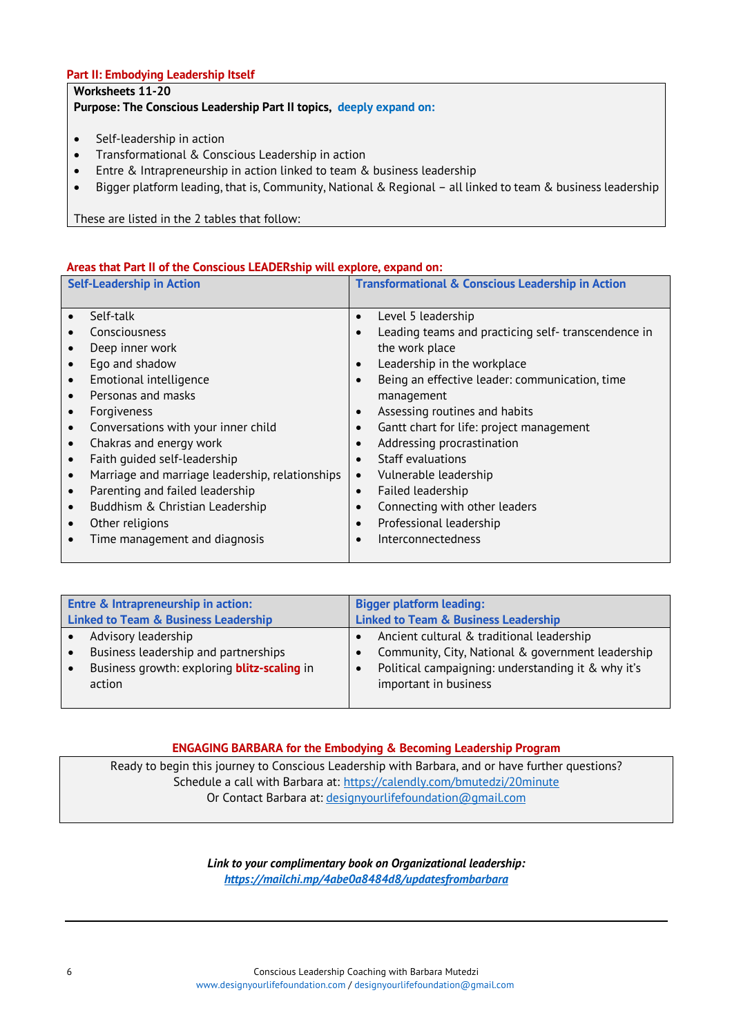# **Part II: Embodying Leadership Itself**

**Worksheets 11-20**

# **Purpose: The Conscious Leadership Part II topics, deeply expand on:**

- Self-leadership in action
- Transformational & Conscious Leadership in action
- Entre & Intrapreneurship in action linked to team & business leadership
- Bigger platform leading, that is, Community, National & Regional all linked to team & business leadership

These are listed in the 2 tables that follow:

# **Areas that Part II of the Conscious LEADERship will explore, expand on:**

| <b>Self-Leadership in Action</b>                                                                                                                                                                                                                                                                                                                                                                                                                                                                                                                | <b>Transformational &amp; Conscious Leadership in Action</b>                                                                                                                                                                                                                                                                                                                                                                                                                                                                                                                                             |
|-------------------------------------------------------------------------------------------------------------------------------------------------------------------------------------------------------------------------------------------------------------------------------------------------------------------------------------------------------------------------------------------------------------------------------------------------------------------------------------------------------------------------------------------------|----------------------------------------------------------------------------------------------------------------------------------------------------------------------------------------------------------------------------------------------------------------------------------------------------------------------------------------------------------------------------------------------------------------------------------------------------------------------------------------------------------------------------------------------------------------------------------------------------------|
| Self-talk<br>$\bullet$<br>Consciousness<br>Deep inner work<br>Ego and shadow<br>Emotional intelligence<br>$\bullet$<br>Personas and masks<br>$\bullet$<br>Forgiveness<br>$\bullet$<br>Conversations with your inner child<br>$\bullet$<br>Chakras and energy work<br>$\bullet$<br>Faith quided self-leadership<br>$\bullet$<br>Marriage and marriage leadership, relationships<br>Parenting and failed leadership<br>$\bullet$<br>Buddhism & Christian Leadership<br>$\bullet$<br>Other religions<br>$\bullet$<br>Time management and diagnosis | Level 5 leadership<br>$\bullet$<br>Leading teams and practicing self-transcendence in<br>the work place<br>Leadership in the workplace<br>$\bullet$<br>Being an effective leader: communication, time<br>$\bullet$<br>management<br>Assessing routines and habits<br>$\bullet$<br>Gantt chart for life: project management<br>$\bullet$<br>Addressing procrastination<br>$\bullet$<br>Staff evaluations<br>$\bullet$<br>Vulnerable leadership<br>$\bullet$<br>Failed leadership<br>$\bullet$<br>Connecting with other leaders<br>$\bullet$<br>Professional leadership<br>$\bullet$<br>Interconnectedness |

| Entre & Intrapreneurship in action:                          | <b>Bigger platform leading:</b>                                                                |  |
|--------------------------------------------------------------|------------------------------------------------------------------------------------------------|--|
| <b>Linked to Team &amp; Business Leadership</b>              | <b>Linked to Team &amp; Business Leadership</b>                                                |  |
| Advisory leadership<br>Business leadership and partnerships  | Ancient cultural & traditional leadership<br>Community, City, National & government leadership |  |
| Business growth: exploring <b>blitz-scaling</b> in<br>action | Political campaigning: understanding it & why it's<br>important in business                    |  |
|                                                              |                                                                                                |  |

## **ENGAGING BARBARA for the Embodying & Becoming Leadership Program**

Ready to begin this journey to Conscious Leadership with Barbara, and or have further questions? Schedule a call with Barbara at: https://calendly.com/bmutedzi/20minute Or Contact Barbara at: designyourlifefoundation@gmail.com

> *Link to your complimentary book on Organizational leadership: https://mailchi.mp/4abe0a8484d8/updatesfrombarbara*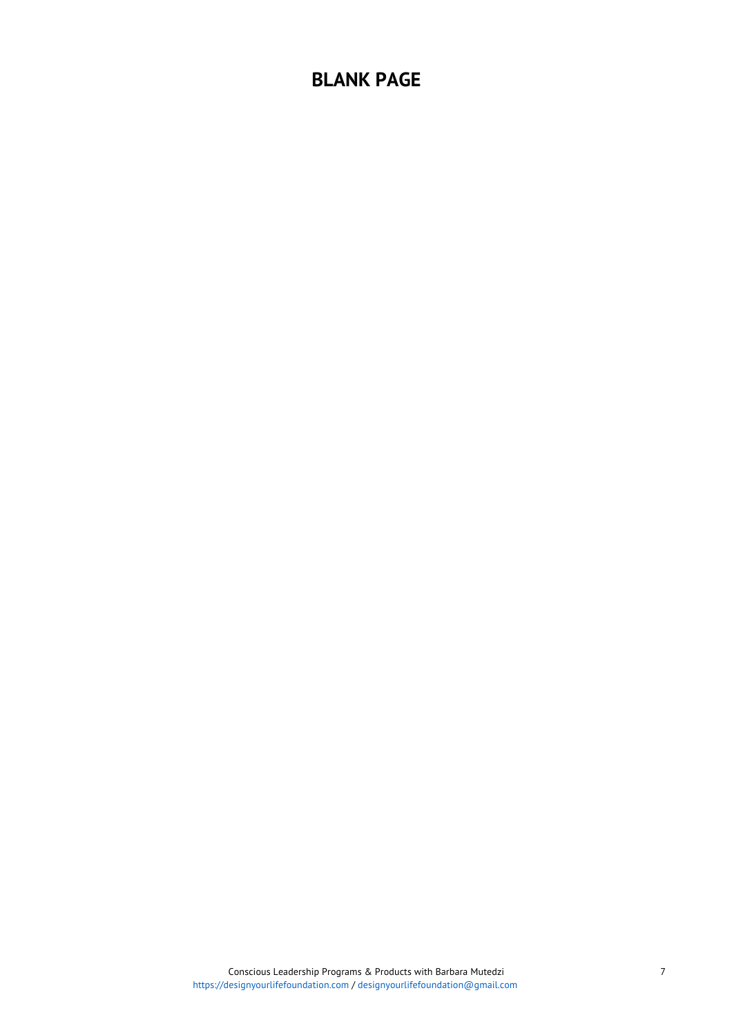# **BLANK PAGE**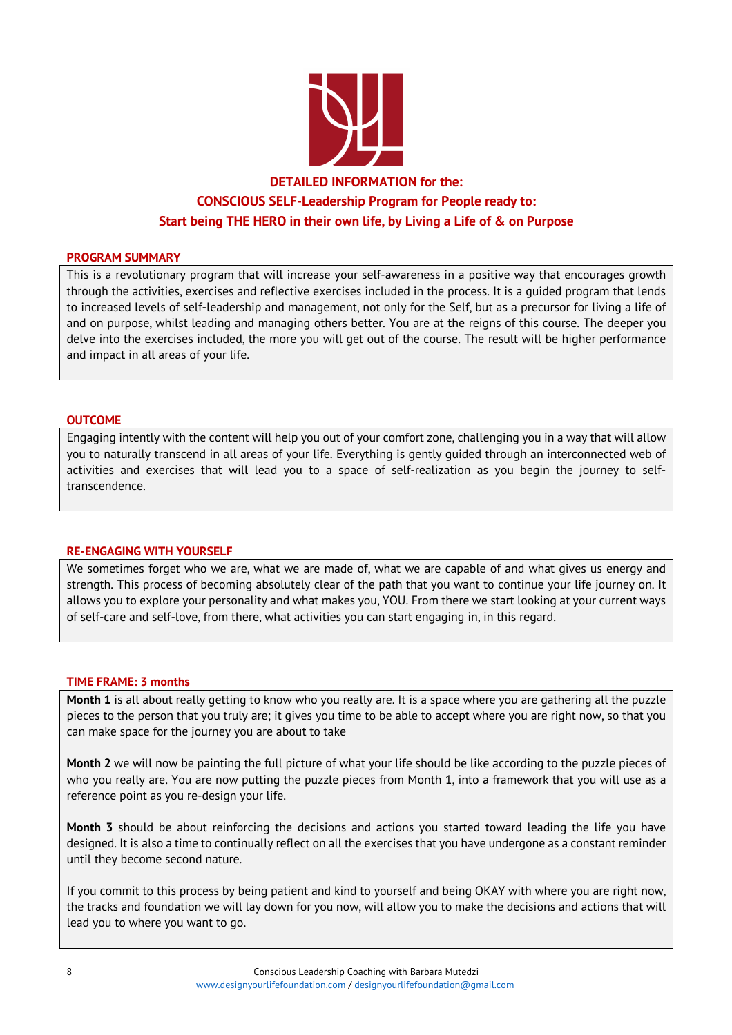

# **DETAILED INFORMATION for the: CONSCIOUS SELF-Leadership Program for People ready to: Start being THE HERO in their own life, by Living a Life of & on Purpose**

## **PROGRAM SUMMARY**

This is a revolutionary program that will increase your self-awareness in a positive way that encourages growth through the activities, exercises and reflective exercises included in the process. It is a guided program that lends to increased levels of self-leadership and management, not only for the Self, but as a precursor for living a life of and on purpose, whilst leading and managing others better. You are at the reigns of this course. The deeper you delve into the exercises included, the more you will get out of the course. The result will be higher performance and impact in all areas of your life.

## **OUTCOME**

Engaging intently with the content will help you out of your comfort zone, challenging you in a way that will allow you to naturally transcend in all areas of your life. Everything is gently guided through an interconnected web of activities and exercises that will lead you to a space of self-realization as you begin the journey to selftranscendence.

# **RE-ENGAGING WITH YOURSELF**

We sometimes forget who we are, what we are made of, what we are capable of and what gives us energy and strength. This process of becoming absolutely clear of the path that you want to continue your life journey on. It allows you to explore your personality and what makes you, YOU. From there we start looking at your current ways of self-care and self-love, from there, what activities you can start engaging in, in this regard.

## **TIME FRAME: 3 months**

**Month 1** is all about really getting to know who you really are. It is a space where you are gathering all the puzzle pieces to the person that you truly are; it gives you time to be able to accept where you are right now, so that you can make space for the journey you are about to take

**Month 2** we will now be painting the full picture of what your life should be like according to the puzzle pieces of who you really are. You are now putting the puzzle pieces from Month 1, into a framework that you will use as a reference point as you re-design your life.

**Month 3** should be about reinforcing the decisions and actions you started toward leading the life you have designed. It is also a time to continually reflect on all the exercises that you have undergone as a constant reminder until they become second nature.

If you commit to this process by being patient and kind to yourself and being OKAY with where you are right now, the tracks and foundation we will lay down for you now, will allow you to make the decisions and actions that will lead you to where you want to go.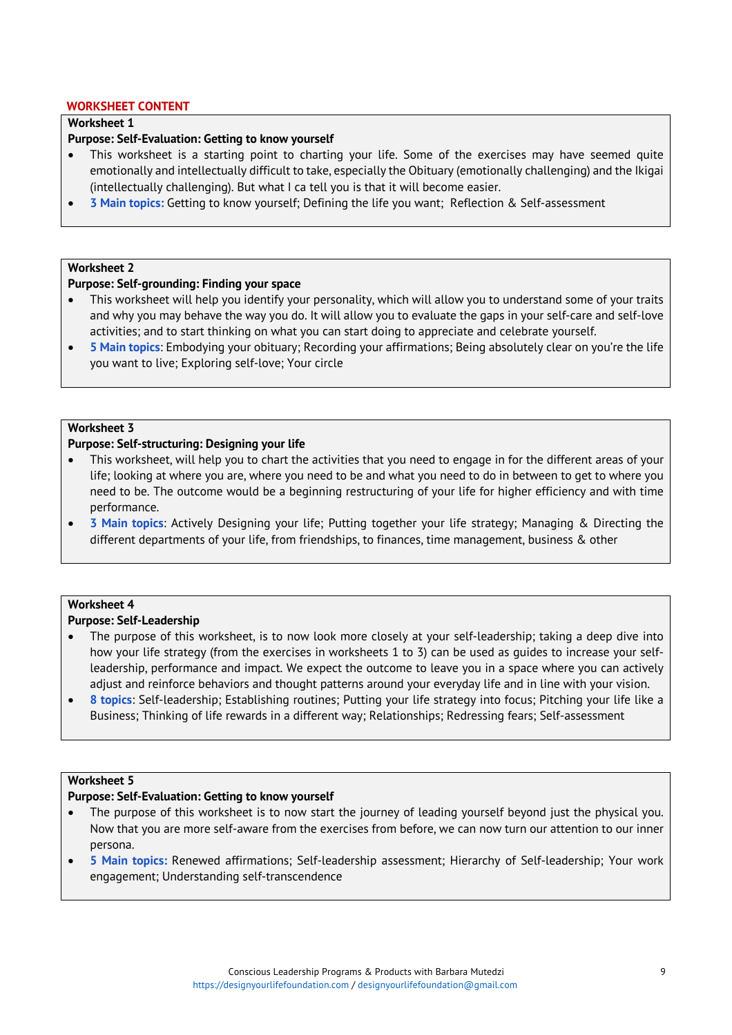## **WORKSHEET CONTENT**

# **Worksheet 1**

# **Purpose: Self-Evaluation: Getting to know yourself**

- This worksheet is a starting point to charting your life. Some of the exercises may have seemed quite emotionally and intellectually difficult to take, especially the Obituary (emotionally challenging) and the Ikigai (intellectually challenging). But what I ca tell you is that it will become easier.
- **3 Main topics:** Getting to know yourself; Defining the life you want; Reflection & Self-assessment

# **Worksheet 2**

## **Purpose: Self-grounding: Finding your space**

- This worksheet will help you identify your personality, which will allow you to understand some of your traits and why you may behave the way you do. It will allow you to evaluate the gaps in your self-care and self-love activities; and to start thinking on what you can start doing to appreciate and celebrate yourself.
- **5 Main topics**: Embodying your obituary; Recording your affirmations; Being absolutely clear on you're the life you want to live; Exploring self-love; Your circle

# **Worksheet 3**

## **Purpose: Self-structuring: Designing your life**

- This worksheet, will help you to chart the activities that you need to engage in for the different areas of your life; looking at where you are, where you need to be and what you need to do in between to get to where you need to be. The outcome would be a beginning restructuring of your life for higher efficiency and with time performance.
- **3 Main topics**: Actively Designing your life; Putting together your life strategy; Managing & Directing the different departments of your life, from friendships, to finances, time management, business & other

## **Worksheet 4**

## **Purpose: Self-Leadership**

- The purpose of this worksheet, is to now look more closely at your self-leadership; taking a deep dive into how your life strategy (from the exercises in worksheets 1 to 3) can be used as guides to increase your selfleadership, performance and impact. We expect the outcome to leave you in a space where you can actively adjust and reinforce behaviors and thought patterns around your everyday life and in line with your vision.
- **8 topics**: Self-leadership; Establishing routines; Putting your life strategy into focus; Pitching your life like a Business; Thinking of life rewards in a different way; Relationships; Redressing fears; Self-assessment

# **Worksheet 5**

## **Purpose: Self-Evaluation: Getting to know yourself**

- The purpose of this worksheet is to now start the journey of leading yourself beyond just the physical you. Now that you are more self-aware from the exercises from before, we can now turn our attention to our inner persona.
- **5 Main topics:** Renewed affirmations; Self-leadership assessment; Hierarchy of Self-leadership; Your work engagement; Understanding self-transcendence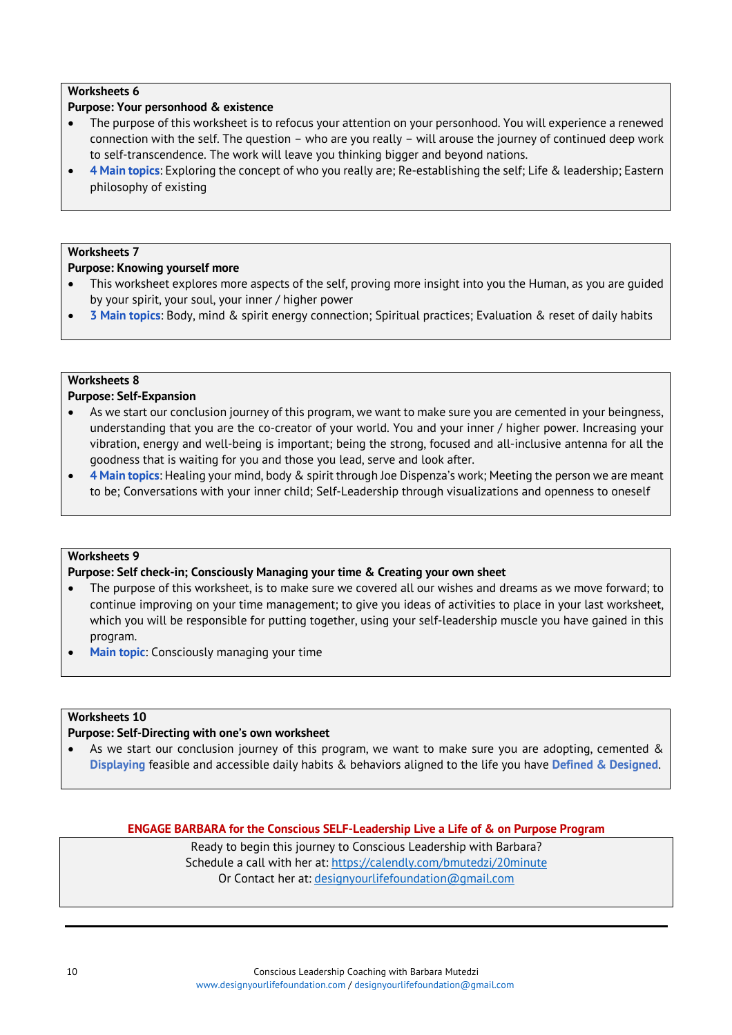# **Worksheets 6**

# **Purpose: Your personhood & existence**

- The purpose of this worksheet is to refocus your attention on your personhood. You will experience a renewed connection with the self. The question – who are you really – will arouse the journey of continued deep work to self-transcendence. The work will leave you thinking bigger and beyond nations.
- **4 Main topics**: Exploring the concept of who you really are; Re-establishing the self; Life & leadership; Eastern philosophy of existing

# **Worksheets 7**

## **Purpose: Knowing yourself more**

- This worksheet explores more aspects of the self, proving more insight into you the Human, as you are guided by your spirit, your soul, your inner / higher power
- **3 Main topics**: Body, mind & spirit energy connection; Spiritual practices; Evaluation & reset of daily habits

## **Worksheets 8**

# **Purpose: Self-Expansion**

- As we start our conclusion journey of this program, we want to make sure you are cemented in your beingness, understanding that you are the co-creator of your world. You and your inner / higher power. Increasing your vibration, energy and well-being is important; being the strong, focused and all-inclusive antenna for all the goodness that is waiting for you and those you lead, serve and look after.
- **4 Main topics**: Healing your mind, body & spirit through Joe Dispenza's work; Meeting the person we are meant to be; Conversations with your inner child; Self-Leadership through visualizations and openness to oneself

## **Worksheets 9**

## **Purpose: Self check-in; Consciously Managing your time & Creating your own sheet**

- The purpose of this worksheet, is to make sure we covered all our wishes and dreams as we move forward; to continue improving on your time management; to give you ideas of activities to place in your last worksheet, which you will be responsible for putting together, using your self-leadership muscle you have gained in this program.
- **Main topic**: Consciously managing your time

# **Worksheets 10**

## **Purpose: Self-Directing with one's own worksheet**

• As we start our conclusion journey of this program, we want to make sure you are adopting, cemented & **Displaying** feasible and accessible daily habits & behaviors aligned to the life you have **Defined & Designed**.

## **ENGAGE BARBARA for the Conscious SELF-Leadership Live a Life of & on Purpose Program**

Ready to begin this journey to Conscious Leadership with Barbara? Schedule a call with her at: https://calendly.com/bmutedzi/20minute Or Contact her at: designyourlifefoundation@gmail.com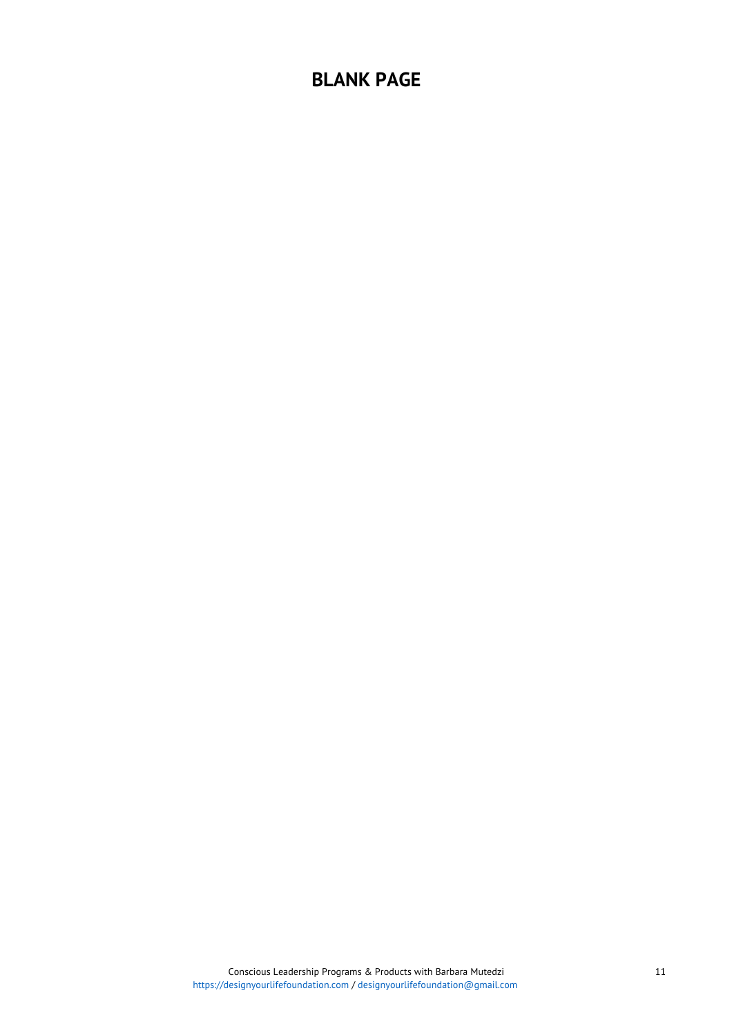# **BLANK PAGE**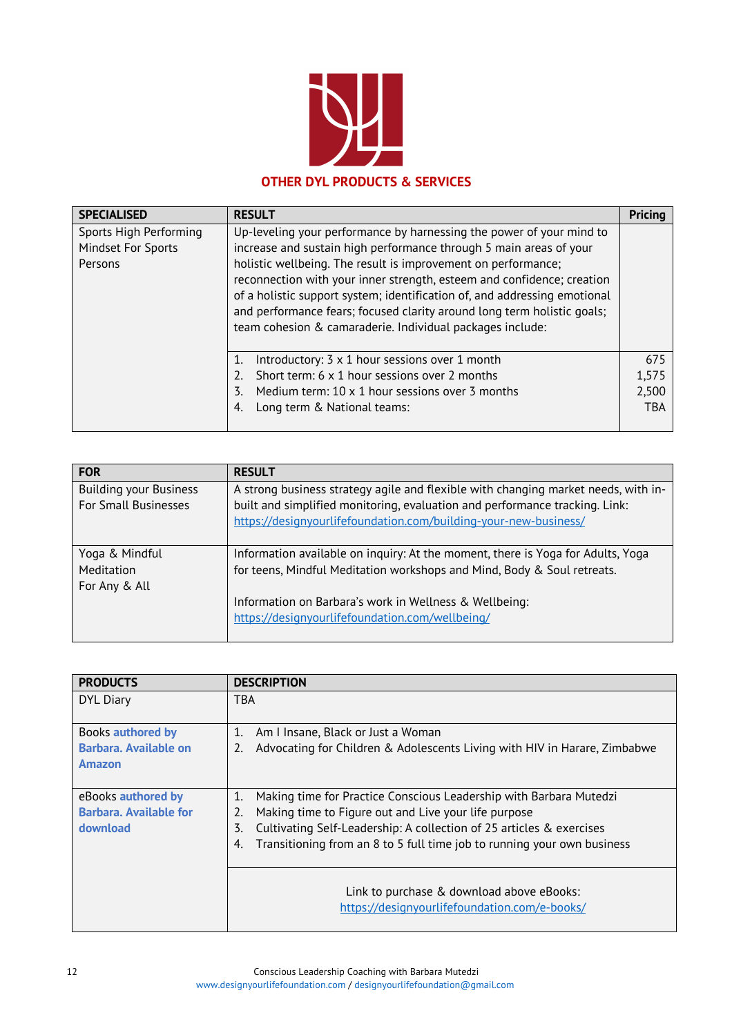

# **OTHER DYL PRODUCTS & SERVICES**

| <b>SPECIALISED</b>     | <b>RESULT</b>                                                                                                                                                                                                                  | <b>Pricing</b> |  |
|------------------------|--------------------------------------------------------------------------------------------------------------------------------------------------------------------------------------------------------------------------------|----------------|--|
| Sports High Performing | Up-leveling your performance by harnessing the power of your mind to                                                                                                                                                           |                |  |
| Mindset For Sports     | increase and sustain high performance through 5 main areas of your                                                                                                                                                             |                |  |
| Persons                | holistic wellbeing. The result is improvement on performance;                                                                                                                                                                  |                |  |
|                        | reconnection with your inner strength, esteem and confidence; creation<br>of a holistic support system; identification of, and addressing emotional<br>and performance fears; focused clarity around long term holistic goals; |                |  |
|                        | team cohesion & camaraderie. Individual packages include:                                                                                                                                                                      |                |  |
|                        |                                                                                                                                                                                                                                |                |  |
|                        | Introductory: 3 x 1 hour sessions over 1 month                                                                                                                                                                                 | 675            |  |
|                        | Short term: 6 x 1 hour sessions over 2 months                                                                                                                                                                                  | 1,575          |  |
|                        | Medium term: 10 x 1 hour sessions over 3 months<br>3                                                                                                                                                                           | 2,500          |  |
|                        | Long term & National teams:                                                                                                                                                                                                    | <b>TBA</b>     |  |
|                        |                                                                                                                                                                                                                                |                |  |

| <b>FOR</b>                                            | <b>RESULT</b>                                                                                                                                                                                                                                                           |
|-------------------------------------------------------|-------------------------------------------------------------------------------------------------------------------------------------------------------------------------------------------------------------------------------------------------------------------------|
| <b>Building your Business</b><br>For Small Businesses | A strong business strategy agile and flexible with changing market needs, with in-<br>built and simplified monitoring, evaluation and performance tracking. Link:                                                                                                       |
|                                                       | https://designyourlifefoundation.com/building-your-new-business/                                                                                                                                                                                                        |
| Yoga & Mindful<br>Meditation<br>For Any & All         | Information available on inquiry: At the moment, there is Yoga for Adults, Yoga<br>for teens, Mindful Meditation workshops and Mind, Body & Soul retreats.<br>Information on Barbara's work in Wellness & Wellbeing:<br>https://designyourlifefoundation.com/wellbeing/ |

| <b>PRODUCTS</b>                        | <b>DESCRIPTION</b>                                                                         |  |
|----------------------------------------|--------------------------------------------------------------------------------------------|--|
| DYL Diary                              | <b>TBA</b>                                                                                 |  |
| Books authored by                      | $\mathbf{1}$<br>Am I Insane, Black or Just a Woman                                         |  |
| Barbara, Available on<br><b>Amazon</b> | 2.<br>Advocating for Children & Adolescents Living with HIV in Harare, Zimbabwe            |  |
| eBooks authored by                     | 1.<br>Making time for Practice Conscious Leadership with Barbara Mutedzi                   |  |
| <b>Barbara, Available for</b>          | 2.<br>Making time to Figure out and Live your life purpose                                 |  |
| download                               | 3.<br>Cultivating Self-Leadership: A collection of 25 articles & exercises                 |  |
|                                        | 4.<br>Transitioning from an 8 to 5 full time job to running your own business              |  |
|                                        | Link to purchase & download above eBooks:<br>https://designyourlifefoundation.com/e-books/ |  |